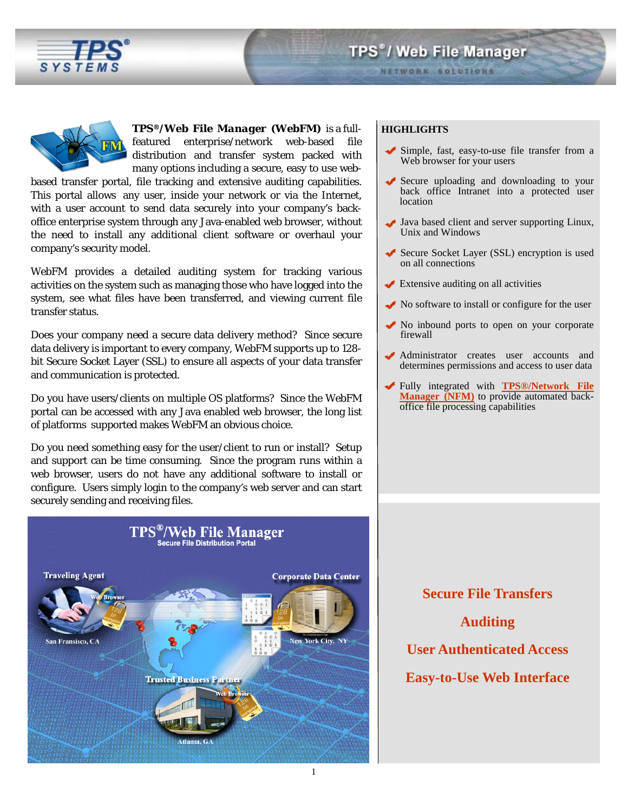



*TPS®/Web File Manager (WebFM)* is a fullfeatured enterprise/network web-based file distribution and transfer system packed with many options including a secure, easy to use web-

based transfer portal, file tracking and extensive auditing capabilities. This portal allows any user, inside your network or via the Internet, with a user account to send data securely into your company's backoffice enterprise system through any Java-enabled web browser, without the need to install any additional client software or overhaul your company's security model.

WebFM provides a detailed auditing system for tracking various activities on the system such as managing those who have logged into the system, see what files have been transferred, and viewing current file transfer status.

Does your company need a secure data delivery method? Since secure data delivery is important to every company, WebFM supports up to 128 bit Secure Socket Layer (SSL) to ensure all aspects of your data transfer and communication is protected.

Do you have users/clients on multiple OS platforms? Since the WebFM portal can be accessed with any Java enabled web browser, the long list of platforms supported makes WebFM an obvious choice.

Do you need something easy for the user/client to run or install? Setup and support can be time consuming. Since the program runs within a web browser, users do not have any additional software to install or configure. Users simply login to the company's web server and can start securely sending and receiving files.



### **HIGHLIGHTS**

- Simple, fast, easy-to-use file transfer from a Web browser for your users
- Secure uploading and downloading to your back office Intranet into a protected user location
- Java based client and server supporting Linux, Unix and Windows
- Secure Socket Layer (SSL) encryption is used on all connections
- Extensive auditing on all activities
- No software to install or configure for the user
- No inbound ports to open on your corporate firewall
- Administrator creates user accounts and determines permissions and access to user data
- Fully integrated with **[TPS®/Network File](http://www.tps.com/Products/NFM/nfm.shtm)  [Manager \(NFM\)](http://www.tps.com/Products/NFM/nfm.shtm)** to provide automated backoffice file processing capabilities

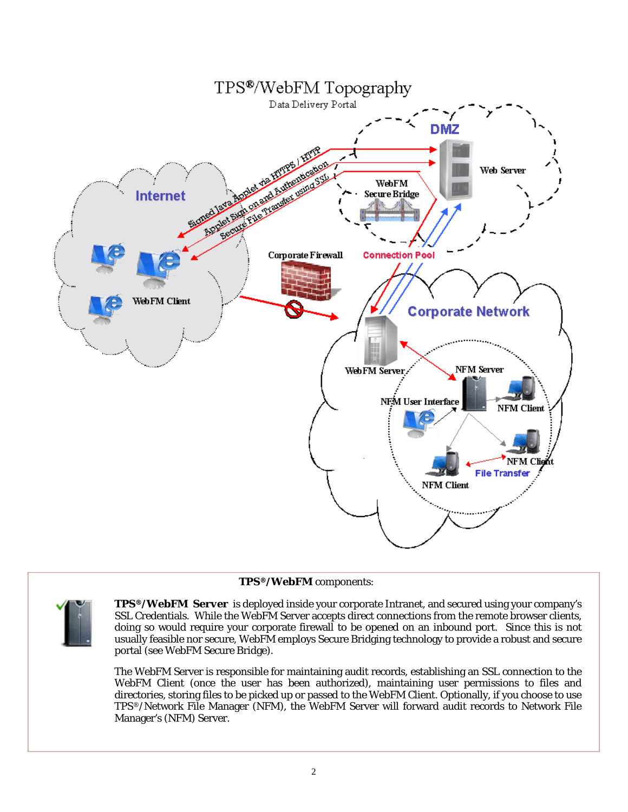

## *TPS®/WebFM* components:



*TPS®/WebFM Server* is deployed inside your corporate Intranet, and secured using your company's SSL Credentials. While the WebFM Server accepts direct connections from the remote browser clients, doing so would require your corporate firewall to be opened on an inbound port. Since this is not usually feasible nor secure, WebFM employs Secure Bridging technology to provide a robust and secure portal (see WebFM Secure Bridge).

The WebFM Server is responsible for maintaining audit records, establishing an SSL connection to the WebFM Client (once the user has been authorized), maintaining user permissions to files and directories, storing files to be picked up or passed to the WebFM Client. Optionally, if you choose to use TPS®/Network File Manager (NFM), the WebFM Server will forward audit records to Network File Manager's (NFM) Server.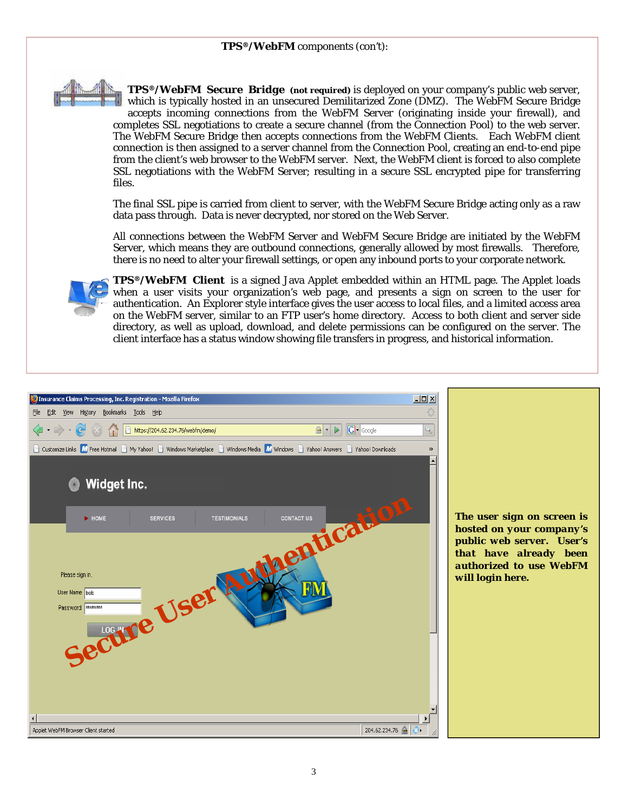

*TPS®/WebFM Secure Bridge (not required)* is deployed on your company's public web server, which is typically hosted in an unsecured Demilitarized Zone (DMZ). The WebFM Secure Bridge accepts incoming connections from the WebFM Server (originating inside your firewall), and completes SSL negotiations to create a secure channel (from the Connection Pool) to the web server. The WebFM Secure Bridge then accepts connections from the WebFM Clients. Each WebFM client connection is then assigned to a server channel from the Connection Pool, creating an end-to-end pipe from the client's web browser to the WebFM server. Next, the WebFM client is forced to also complete SSL negotiations with the WebFM Server; resulting in a secure SSL encrypted pipe for transferring files.

The final SSL pipe is carried from client to server, with the WebFM Secure Bridge acting only as a raw data pass through. Data is never decrypted, nor stored on the Web Server.

All connections between the WebFM Server and WebFM Secure Bridge are initiated by the WebFM Server, which means they are outbound connections, generally allowed by most firewalls. Therefore, there is no need to alter your firewall settings, or open any inbound ports to your corporate network.



*TPS®/WebFM Client* is a signed Java Applet embedded within an HTML page. The Applet loads when a user visits your organization's web page, and presents a sign on screen to the user for authentication. An Explorer style interface gives the user access to local files, and a limited access area on the WebFM server, similar to an FTP user's home directory. Access to both client and server side directory, as well as upload, download, and delete permissions can be configured on the server. The client interface has a status window showing file transfers in progress, and historical information.

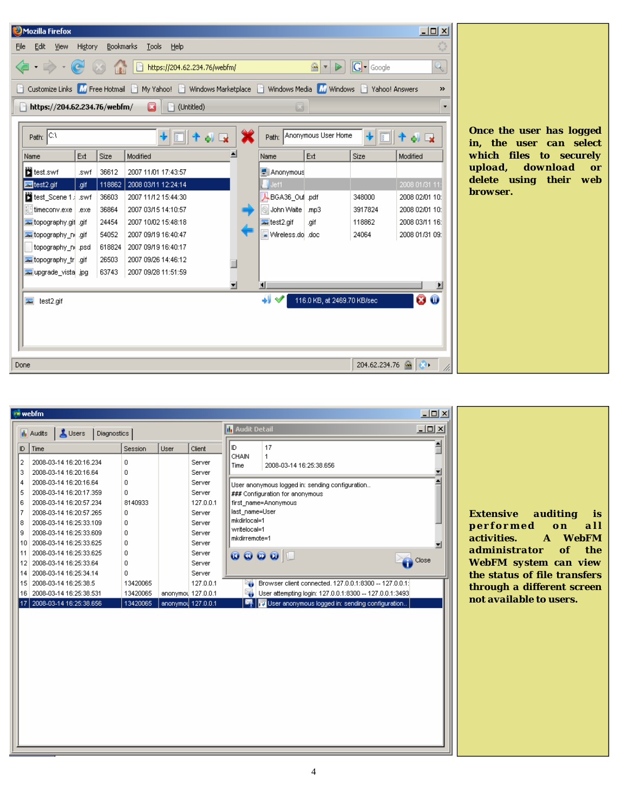

|                | $\Box$<br><b><i>M</i></b> webfm |                                          |          |                    |                                                     |                                                                                                                               |                                                         |  |  |  |
|----------------|---------------------------------|------------------------------------------|----------|--------------------|-----------------------------------------------------|-------------------------------------------------------------------------------------------------------------------------------|---------------------------------------------------------|--|--|--|
|                |                                 | <b>il</b> Audits<br>Diagnostics<br>Users |          |                    | $\underline{\blacksquare}$<br><b>M</b> Audit Detail |                                                                                                                               |                                                         |  |  |  |
| ID.            |                                 | Time                                     | Session  | User               | Client                                              | ID.                                                                                                                           | 17                                                      |  |  |  |
| $\overline{2}$ |                                 | 2008-03-14 16:20:16.234                  | 0        |                    | Server                                              | CHAIN<br>Time                                                                                                                 | 1<br>2008-03-14 16:25:38.656                            |  |  |  |
| 3              |                                 | 2008-03-14 16:20:16.64                   | 0        |                    | Server                                              | User anonymous logged in: sending configuration<br>### Configuration for anonymous<br>first name=Anonymous                    |                                                         |  |  |  |
| 4              |                                 | 2008-03-14 16:20:16.64                   | 0        |                    | Server                                              |                                                                                                                               |                                                         |  |  |  |
| 5              |                                 | 2008-03-14 16:20:17.359                  | 0        |                    | Server                                              |                                                                                                                               |                                                         |  |  |  |
| 6              |                                 | 2008-03-14 16:20:57.234                  | 8140933  |                    | 127.0.0.1                                           |                                                                                                                               |                                                         |  |  |  |
| 7              |                                 | 2008-03-14 16:20:57.265                  | 0        |                    | Server                                              | last name=User                                                                                                                |                                                         |  |  |  |
| 8              |                                 | 2008-03-14 16:25:33.109                  | 0        |                    | mkdirlocal=1<br>Server                              |                                                                                                                               |                                                         |  |  |  |
| 9              |                                 | 2008-03-14 16:25:33.609                  | 0        |                    | writelocal=1<br>Server                              |                                                                                                                               |                                                         |  |  |  |
|                | 10                              | 2008-03-14 16:25:33.625                  | 0        |                    | Server                                              | mkdirremote=1<br>$\begin{array}{c c c c c} \hline \textbf{0} & \textbf{0} & \textbf{0} & \textbf{0} & \textbf{0} \end{array}$ |                                                         |  |  |  |
|                | 11                              | 2008-03-14 16:25:33.625                  | 0        |                    | Server                                              |                                                                                                                               |                                                         |  |  |  |
|                | 12                              | 2008-03-14 16:25:33.64                   | 0        |                    | Server                                              |                                                                                                                               | Close                                                   |  |  |  |
|                | 14                              | 2008-03-14 16:25:34:14                   | 0.       |                    | Server                                              |                                                                                                                               |                                                         |  |  |  |
|                | 15                              | 2008-03-14 16:25:38.5                    | 13420065 |                    | 127.0.0.1                                           |                                                                                                                               | Browser client connected. 127.0.0.1:8300 -- 127.0.0.1:  |  |  |  |
|                |                                 | 16 2008-03-14 16:25:38.531               | 13420065 | anonymou 127.0.0.1 |                                                     |                                                                                                                               | User attempting login: 127.0.0.1:8300 -- 127.0.0.1:3493 |  |  |  |
|                | 17                              | 2008-03-14 16:25:38.656                  | 13420065 | anonymou 127.0.0.1 |                                                     |                                                                                                                               | User anonymous logged in: sending configuration         |  |  |  |

*Extensive auditing is p e r f o r m e d o n a l l activities. A WebFM administrator of the WebFM system can view the status of file transfers through a different screen not available to users.*